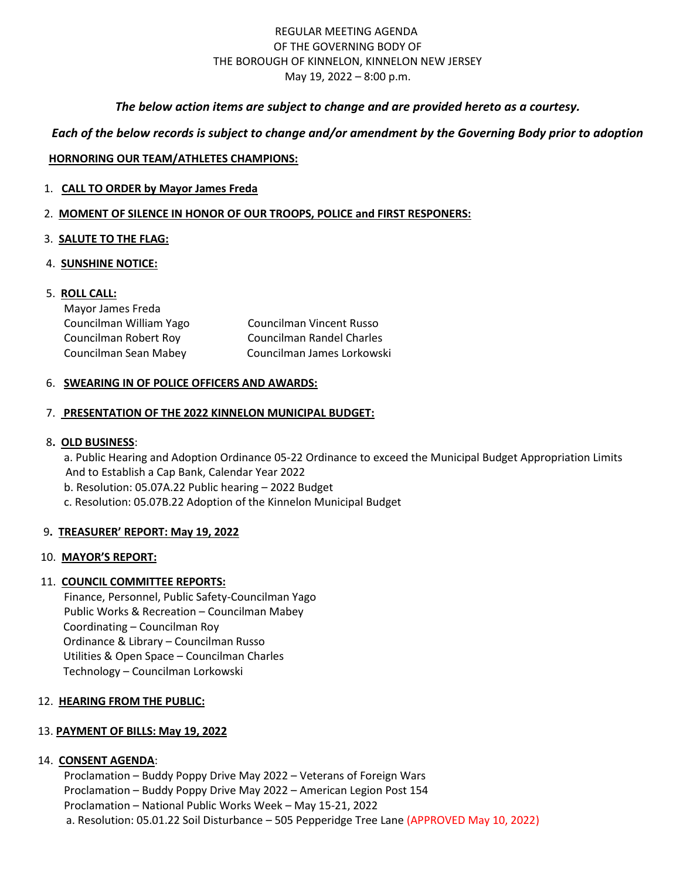## REGULAR MEETING AGENDA OF THE GOVERNING BODY OF THE BOROUGH OF KINNELON, KINNELON NEW JERSEY May 19, 2022 – 8:00 p.m.

### *The below action items are subject to change and are provided hereto as a courtesy.*

# *Each of the below records is subject to change and/or amendment by the Governing Body prior to adoption*

#### **HORNORING OUR TEAM/ATHLETES CHAMPIONS:**

- 1. **CALL TO ORDER by Mayor James Freda**
- 2. **MOMENT OF SILENCE IN HONOR OF OUR TROOPS, POLICE and FIRST RESPONERS:**

### 3. **SALUTE TO THE FLAG:**

4. **SUNSHINE NOTICE:** 

# 5. **ROLL CALL:**

| Mayor James Freda       |                                  |
|-------------------------|----------------------------------|
| Councilman William Yago | Councilman Vincent Russo         |
| Councilman Robert Roy   | <b>Councilman Randel Charles</b> |
| Councilman Sean Mabey   | Councilman James Lorkowski       |

#### 6. **SWEARING IN OF POLICE OFFICERS AND AWARDS:**

#### 7. **PRESENTATION OF THE 2022 KINNELON MUNICIPAL BUDGET:**

#### 8**. OLD BUSINESS**:

a. Public Hearing and Adoption Ordinance 05-22 Ordinance to exceed the Municipal Budget Appropriation Limits And to Establish a Cap Bank, Calendar Year 2022

b. Resolution: 05.07A.22 Public hearing – 2022 Budget

c. Resolution: 05.07B.22 Adoption of the Kinnelon Municipal Budget

#### 9**. TREASURER' REPORT: May 19, 2022**

#### 10. **MAYOR'S REPORT:**

# 11. **COUNCIL COMMITTEE REPORTS:**

Finance, Personnel, Public Safety-Councilman Yago Public Works & Recreation – Councilman Mabey Coordinating – Councilman Roy Ordinance & Library – Councilman Russo Utilities & Open Space – Councilman Charles Technology – Councilman Lorkowski

#### 12. **HEARING FROM THE PUBLIC:**

#### 13. **PAYMENT OF BILLS: May 19, 2022**

#### 14. **CONSENT AGENDA**:

Proclamation – Buddy Poppy Drive May 2022 – Veterans of Foreign Wars Proclamation – Buddy Poppy Drive May 2022 – American Legion Post 154 Proclamation – National Public Works Week – May 15-21, 2022 a. Resolution: 05.01.22 Soil Disturbance – 505 Pepperidge Tree Lane (APPROVED May 10, 2022)